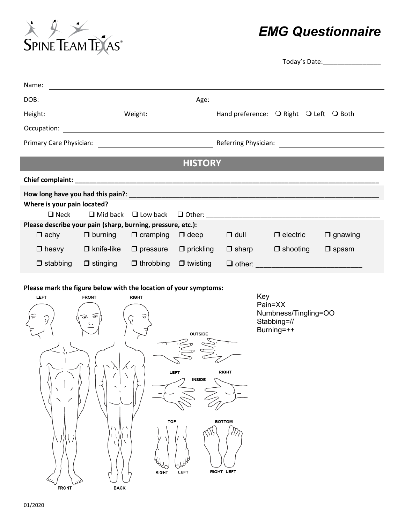

# *EMG Questionnaire*

|                             |                                                                                                                         |                                  |                 |               |                                        | Today's Date: The Contract of the Contract of The Contract of The Contract of The Contract of The Contract of T |  |
|-----------------------------|-------------------------------------------------------------------------------------------------------------------------|----------------------------------|-----------------|---------------|----------------------------------------|-----------------------------------------------------------------------------------------------------------------|--|
| Name:                       |                                                                                                                         |                                  |                 |               |                                        |                                                                                                                 |  |
| DOB:                        | <u> 1989 - Johann Stoff, deutscher Stoffen und der Stoffen und der Stoffen und der Stoffen und der Stoffen und der </u> |                                  | Age:            |               |                                        |                                                                                                                 |  |
| Height:                     |                                                                                                                         | Weight:                          |                 |               | Hand preference: O Right O Left O Both |                                                                                                                 |  |
| Occupation:                 | <u> 1989 - Johann Stoff, deutscher Stoffen und der Stoffen und der Stoffen und der Stoffen und der Stoffen und de</u>   |                                  |                 |               |                                        |                                                                                                                 |  |
|                             |                                                                                                                         |                                  |                 |               |                                        |                                                                                                                 |  |
|                             |                                                                                                                         |                                  | <b>HISTORY</b>  |               |                                        |                                                                                                                 |  |
|                             |                                                                                                                         |                                  |                 |               |                                        |                                                                                                                 |  |
|                             |                                                                                                                         |                                  |                 |               |                                        |                                                                                                                 |  |
| Where is your pain located? |                                                                                                                         |                                  |                 |               |                                        |                                                                                                                 |  |
| $\Box$ Neck                 |                                                                                                                         | $\Box$ Mid back $\Box$ Low back  |                 |               |                                        |                                                                                                                 |  |
|                             | Please describe your pain (sharp, burning, pressure, etc.):                                                             |                                  |                 |               |                                        |                                                                                                                 |  |
|                             | $\Box$ achy $\Box$ burning                                                                                              | $\Box$ cramping                  | $\Box$ deep     | $\Box$ dull   | $\Box$ electric                        | $\Box$ gnawing                                                                                                  |  |
| $\Box$ heavy                | $\Box$ knife-like                                                                                                       | $\Box$ pressure $\Box$ prickling |                 | $\Box$ sharp  | $\Box$ shooting                        | $\square$ spasm                                                                                                 |  |
| $\Box$ stabbing             | $\Box$ stinging                                                                                                         | $\Box$ throbbing                 | $\Box$ twisting | $\Box$ other: |                                        |                                                                                                                 |  |

#### **Please mark the figure below with the location of your symptoms:**

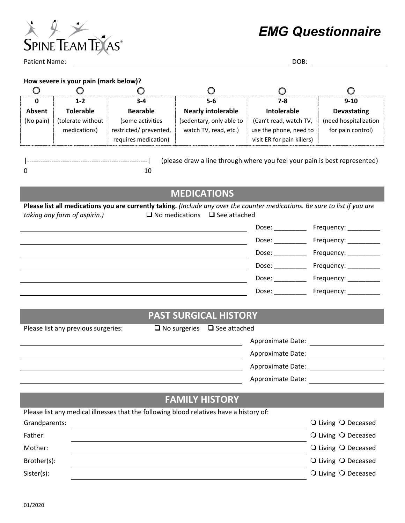

*EMG Questionnaire* 

Patient Name: DOB:

#### **How severe is your pain (mark below)?**

|           | $1 - 2$           | $3 - 4$               | $5-6$                     | 7-8                        | $9-10$                |
|-----------|-------------------|-----------------------|---------------------------|----------------------------|-----------------------|
| Absent    | <b>Tolerable</b>  | <b>Bearable</b>       | <b>Nearly intolerable</b> | Intolerable                | <b>Devastating</b>    |
| (No pain) | (tolerate without | (some activities      | (sedentary, only able to  | (Can't read, watch TV,     | (need hospitalization |
|           | medications)      | restricted/prevented, | watch TV, read, etc.)     | use the phone, need to     | for pain control)     |
|           |                   | requires medication)  |                           | visit ER for pain killers) |                       |
|           |                   |                       |                           |                            |                       |

|------------------------------------------------------| 0 10 (please draw a line through where you feel your pain is best represented)

## **MEDICATIONS**

**Please list all medications you are currently taking.** *(Include any over the counter medications. Be sure to list if you are taking any form of aspirin.)*  $\square$  No medications  $\square$  See attached

| Dose: | Frequency: __________ |
|-------|-----------------------|
| Dose: | Frequency: _          |
| Dose: | Frequency: _          |
| Dose: | Frequency: _          |
| Dose: | Frequency: _          |
| Dose: | Frequency:            |
|       |                       |

### **PAST SURGICAL HISTORY**

Please list any previous surgeries:  $\Box$  No surgeries  $\Box$  See attached

| <b>Approximate Date:</b> |
|--------------------------|
| Approximate Date:        |
| Approximate Date:        |
| Approximate Date:        |
|                          |

## **FAMILY HISTORY**

|               | Please list any medical illnesses that the following blood relatives have a history of: |                     |
|---------------|-----------------------------------------------------------------------------------------|---------------------|
| Grandparents: |                                                                                         | ○ Living ○ Deceased |
| Father:       |                                                                                         | O Living O Deceased |
| Mother:       |                                                                                         | O Living O Deceased |
| Brother(s):   |                                                                                         | O Living O Deceased |
| Sister(s):    |                                                                                         | O Living O Deceased |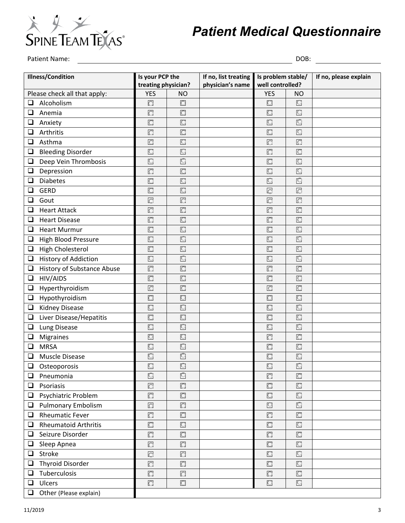

# *Patient Medical Questionnaire*

Patient Name: DOB:

| <b>Illness/Condition</b> |                              | Is your PCP the         |                     | If no, list treating | Is problem stable/       |                     | If no, please explain |
|--------------------------|------------------------------|-------------------------|---------------------|----------------------|--------------------------|---------------------|-----------------------|
|                          |                              | treating physician?     |                     | physician's name     | well controlled?         |                     |                       |
|                          | Please check all that apply: | <b>YES</b>              | <b>NO</b>           |                      | <b>YES</b>               | <b>NO</b>           |                       |
| ❏                        | Alcoholism                   | $\circ$                 | $\bigcirc$          |                      | $\circlearrowright$      | $\bigcirc$          |                       |
| $\Box$                   | Anemia                       | $\circ$                 | $\overline{C}$      |                      | $\overline{\mathcal{O}}$ | $\circ$             |                       |
| $\Box$                   | Anxiety                      | $\circ$                 | $\bigcirc$          |                      | $\circ$                  | Q                   |                       |
| $\Box$                   | Arthritis                    | $\circ$                 | $\bigcirc$          |                      | $\overline{\mathbb{C}}$  | $\Box$              |                       |
| $\Box$                   | Asthma                       | $\circ$                 | $\bigcirc$          |                      | $\circ$                  | $\bigcirc$          |                       |
| $\Box$                   | <b>Bleeding Disorder</b>     | $\overline{C}$          | $\circ$             |                      | $\overline{C}$           | $\bigcirc$          |                       |
| $\Box$                   | Deep Vein Thrombosis         | $\Box$                  | $\circ$             |                      | $\circ$                  | $\bigcirc$          |                       |
| $\Box$                   | Depression                   | $\bigcirc$              | $\bigcirc$          |                      | $\circ$                  | $\circ$             |                       |
| $\Box$                   | <b>Diabetes</b>              | $\circ$                 | $\bigcirc$          |                      | O                        | $\overline{C}$      |                       |
| ❏                        | <b>GERD</b>                  | $\subset$               | $\circ$             |                      | $\circ$                  | $\circ$             |                       |
| $\Box$                   | Gout                         | $\circ$                 | $\bigcirc$          |                      | $\overline{C}$           | $\bigcirc$          |                       |
| $\Box$                   | <b>Heart Attack</b>          | $\bigcirc$              | $\bigcirc$          |                      | $\overline{C}$           | $\bigcirc$          |                       |
| $\Box$                   | <b>Heart Disease</b>         | $\overline{\mathbb{C}}$ | $\bigcirc$          |                      | $\overline{C}$           | $\Box$              |                       |
| $\Box$                   | <b>Heart Murmur</b>          | $\bigcirc$              | $\circ$             |                      | $\bigcirc$               | $\circ$             |                       |
| $\Box$                   | <b>High Blood Pressure</b>   | $\overline{\mathbb{C}}$ | $\overline{C}$      |                      | $\overline{\mathcal{C}}$ | $\overline{C}$      |                       |
| $\Box$                   | <b>High Cholesterol</b>      | $\Box$                  | $\bigcirc$          |                      | $\circ$                  | $\Box$              |                       |
| $\Box$                   | History of Addiction         | $\Box$                  | $\overline{C}$      |                      | $\overline{\mathbb{C}}$  | $\Box$              |                       |
| $\Box$                   | History of Substance Abuse   | $\circ$                 | $\circ$             |                      | $\circ$                  | $\bigcirc$          |                       |
| $\Box$                   | HIV/AIDS                     | $\circ$                 | $\circ$             |                      | $\overline{C}$           | $\Box$              |                       |
| $\Box$                   | Hyperthyroidism              | $\overline{C}$          | $\bigcirc$          |                      | $\circ$                  | $\circ$             |                       |
| $\Box$                   | Hypothyroidism               | $\circ$                 | $\circ$             |                      | $\overline{\bigcirc}$    | $\bigcirc$          |                       |
| $\Box$                   | <b>Kidney Disease</b>        | $\circ$                 | $\circ$             |                      | $\circlearrowright$      | $\overline{O}$      |                       |
| $\Box$                   | Liver Disease/Hepatitis      | $\circ$                 | $\bigcirc$          |                      | $\overline{\mathcal{C}}$ | $\bigcirc$          |                       |
| $\Box$                   | Lung Disease                 | $\bigcirc$              | $\circ$             |                      | $\overline{\mathcal{O}}$ | $\circ$             |                       |
| $\Box$                   | <b>Migraines</b>             | $\circ$                 | $\circ$             |                      | $\overline{O}$           | $\circ$             |                       |
| $\Box$                   | <b>MRSA</b>                  | $\bigcirc$              | $\bigcirc$          |                      | $\circlearrowright$      | $\bigcirc$          |                       |
| $\Box$                   | <b>Muscle Disease</b>        | $\circ$                 | $\bigcirc$          |                      | $\bigcirc$               | $\bigcirc$          |                       |
| $\Box$                   | Osteoporosis                 | $\bigcirc$              | $\bigcirc$          |                      | $\bigcirc$               | $\bigcirc$          |                       |
| $\Box$                   | Pneumonia                    | $\Box$                  | $\cup$              |                      | $\bigcirc$               | $\circ$             |                       |
| $\Box$                   | Psoriasis                    | $\circ$                 | $\overline{C}$      |                      | $\bigcirc$               | $\bigcirc$          |                       |
| $\Box$                   | Psychiatric Problem          | $\circ$                 | $\bigcirc$          |                      | $\bigcirc$               | $\bigcirc$          |                       |
| $\Box$                   | <b>Pulmonary Embolism</b>    | $\circ$                 | $\overline{C}$      |                      | $\circ$                  | $\bigcirc$          |                       |
| $\Box$                   | <b>Rheumatic Fever</b>       | $\circ$                 | $\bigcirc$          |                      | $\bigcirc$               | $\circ$             |                       |
| $\Box$                   | <b>Rheumatoid Arthritis</b>  | $\circ$                 | $\circlearrowright$ |                      | $\circ$                  | $\circlearrowright$ |                       |
| $\Box$                   | Seizure Disorder             | $\bigcirc$              | O                   |                      | $\bigcirc$               | $\circ$             |                       |
| $\Box$                   | Sleep Apnea                  | $\circ$                 | $\bigcirc$          |                      | $\bigcirc$               | $\bigcirc$          |                       |
| $\Box$                   | Stroke                       | $\bigcirc$              | $\bigcirc$          |                      | $\bigcirc$               | $\bigcirc$          |                       |
| $\Box$                   | <b>Thyroid Disorder</b>      | $\bigcirc$              | $\bigcirc$          |                      | $\circ$                  | $\bigcirc$          |                       |
| $\Box$                   | Tuberculosis                 | $\bigcirc$              | $\bigcirc$          |                      | $\bigcirc$               | $\circ$             |                       |
| $\Box$                   | Ulcers                       | $\circlearrowright$     | $\bigcirc$          |                      | $\circ$                  | $\Box$              |                       |
| $\Box$                   | Other (Please explain)       |                         |                     |                      |                          |                     |                       |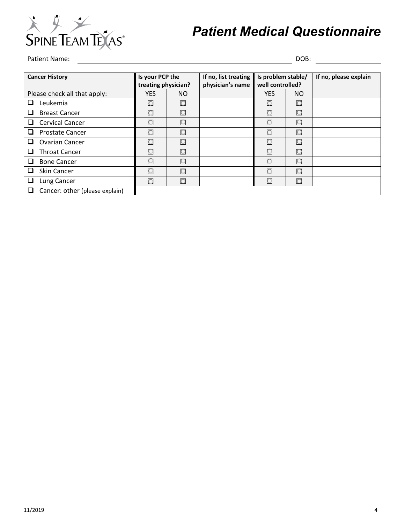

# *Patient Medical Questionnaire*

## Patient Name: DOB:

| <b>Cancer History</b>               | Is your PCP the<br>treating physician? |         | If no, list treating<br>physician's name | Is problem stable/<br>well controlled? |            | If no, please explain |
|-------------------------------------|----------------------------------------|---------|------------------------------------------|----------------------------------------|------------|-----------------------|
| Please check all that apply:        | <b>YES</b>                             | NO.     |                                          | <b>YES</b>                             | NO.        |                       |
| Leukemia<br>ப                       | $\circ$                                | $\circ$ |                                          | $\circ$                                | O          |                       |
| <b>Breast Cancer</b><br>⊔           | $\circ$                                | O       |                                          | $\circ$                                | $\circ$    |                       |
| <b>Cervical Cancer</b><br>□         | O                                      | O       |                                          | O                                      | $\circ$    |                       |
| <b>Prostate Cancer</b><br>ப         | $\bigcirc$                             | O       |                                          | O                                      | O          |                       |
| <b>Ovarian Cancer</b><br>ப          | $\circ$                                | Ю       |                                          | $\circ$                                | O          |                       |
| <b>Throat Cancer</b><br>□           | Ю                                      | O       |                                          | O                                      | O          |                       |
| <b>Bone Cancer</b><br>ப             | $\circ$                                | O       |                                          | O                                      | $\circ$    |                       |
| <b>Skin Cancer</b><br>ப             | $\circ$                                | O       |                                          | O                                      | $\bigcirc$ |                       |
| Lung Cancer<br>⊔                    | $\circ$                                | O       |                                          | O                                      | O          |                       |
| Cancer: other (please explain)<br>⊔ |                                        |         |                                          |                                        |            |                       |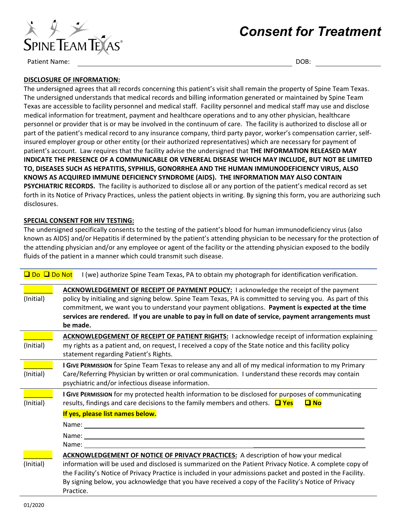

# *Consent for Treatment*

Patient Name: DOB:

#### **DISCLOSURE OF INFORMATION:**

The undersigned agrees that all records concerning this patient's visit shall remain the property of Spine Team Texas. The undersigned understands that medical records and billing information generated or maintained by Spine Team Texas are accessible to facility personnel and medical staff. Facility personnel and medical staff may use and disclose medical information for treatment, payment and healthcare operations and to any other physician, healthcare personnel or provider that is or may be involved in the continuum of care. The facility is authorized to disclose all or part of the patient's medical record to any insurance company, third party payor, worker's compensation carrier, selfinsured employer group or other entity (or their authorized representatives) which are necessary for payment of patient's account. Law requires that the facility advise the undersigned that **THE INFORMATION RELEASED MAY INDICATE THE PRESENCE OF A COMMUNICABLE OR VENEREAL DISEASE WHICH MAY INCLUDE, BUT NOT BE LIMITED TO, DISEASES SUCH AS HEPATITIS, SYPHILIS, GONORRHEA AND THE HUMAN IMMUNODEFICIENCY VIRUS, ALSO KNOWS AS ACQUIRED IMMUNE DEFICIENCY SYNDROME (AIDS). THE INFORMATION MAY ALSO CONTAIN PSYCHIATRIC RECORDS.** The facility is authorized to disclose all or any portion of the patient's medical record as set forth in its Notice of Privacy Practices, unless the patient objects in writing. By signing this form, you are authorizing such disclosures.

#### **SPECIAL CONSENT FOR HIV TESTING:**

The undersigned specifically consents to the testing of the patient's blood for human immunodeficiency virus (also known as AIDS) and/or Hepatitis if determined by the patient's attending physician to be necessary for the protection of the attending physician and/or any employee or agent of the facility or the attending physician exposed to the bodily fluids of the patient in a manner which could transmit such disease.

| <b>Q</b> Do Q Do Not | I (we) authorize Spine Team Texas, PA to obtain my photograph for identification verification.                                                                                                                                                                                                                                                                                                                                                                   |
|----------------------|------------------------------------------------------------------------------------------------------------------------------------------------------------------------------------------------------------------------------------------------------------------------------------------------------------------------------------------------------------------------------------------------------------------------------------------------------------------|
| (Initial)            | <b>ACKNOWLEDGEMENT OF RECEIPT OF PAYMENT POLICY: I acknowledge the receipt of the payment</b><br>policy by initialing and signing below. Spine Team Texas, PA is committed to serving you. As part of this<br>commitment, we want you to understand your payment obligations. Payment is expected at the time<br>services are rendered. If you are unable to pay in full on date of service, payment arrangements must<br>be made.                               |
| (Initial)            | <b>ACKNOWLEDGEMENT OF RECEIPT OF PATIENT RIGHTS: I acknowledge receipt of information explaining</b><br>my rights as a patient and, on request, I received a copy of the State notice and this facility policy<br>statement regarding Patient's Rights.                                                                                                                                                                                                          |
| (Initial)            | I GIVE PERMISSION for Spine Team Texas to release any and all of my medical information to my Primary<br>Care/Referring Physician by written or oral communication. I understand these records may contain<br>psychiatric and/or infectious disease information.                                                                                                                                                                                                 |
| (Initial)            | I GIVE PERMISSION for my protected health information to be disclosed for purposes of communicating<br>results, findings and care decisions to the family members and others. $\Box$ Yes<br>$\Box$ No                                                                                                                                                                                                                                                            |
|                      | If yes, please list names below.                                                                                                                                                                                                                                                                                                                                                                                                                                 |
|                      | Name: and the same of the same of the same of the same of the same of the same of the same of the same of the same of the same of the same of the same of the same of the same of the same of the same of the same of the same<br>Name: and the same of the same of the same of the same of the same of the same of the same of the same of the same of the same of the same of the same of the same of the same of the same of the same of the same of the same |
|                      | Name:                                                                                                                                                                                                                                                                                                                                                                                                                                                            |
|                      | <b>ACKNOWLEDGEMENT OF NOTICE OF PRIVACY PRACTICES:</b> A description of how your medical                                                                                                                                                                                                                                                                                                                                                                         |
| (Initial)            | information will be used and disclosed is summarized on the Patient Privacy Notice. A complete copy of<br>the Facility's Notice of Privacy Practice is included in your admissions packet and posted in the Facility.<br>By signing below, you acknowledge that you have received a copy of the Facility's Notice of Privacy<br>Practice.                                                                                                                        |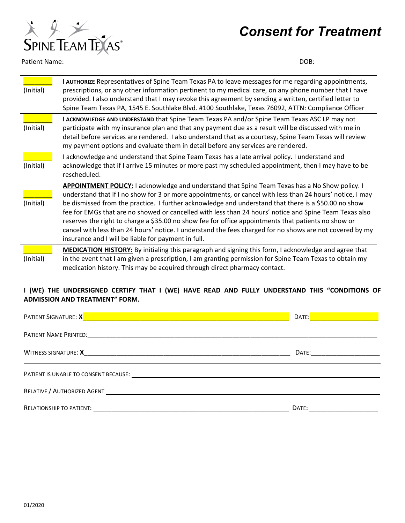# *Consent for Treatment*



Patient Name: DOB:

| (Initial) | I AUTHORIZE Representatives of Spine Team Texas PA to leave messages for me regarding appointments,<br>prescriptions, or any other information pertinent to my medical care, on any phone number that I have<br>provided. I also understand that I may revoke this agreement by sending a written, certified letter to<br>Spine Team Texas PA, 1545 E. Southlake Blvd. #100 Southlake, Texas 76092, ATTN: Compliance Officer                                                                                                                                                                                                                                                                            |
|-----------|---------------------------------------------------------------------------------------------------------------------------------------------------------------------------------------------------------------------------------------------------------------------------------------------------------------------------------------------------------------------------------------------------------------------------------------------------------------------------------------------------------------------------------------------------------------------------------------------------------------------------------------------------------------------------------------------------------|
| (Initial) | I ACKNOWLEDGE AND UNDERSTAND that Spine Team Texas PA and/or Spine Team Texas ASC LP may not<br>participate with my insurance plan and that any payment due as a result will be discussed with me in<br>detail before services are rendered. I also understand that as a courtesy, Spine Team Texas will review<br>my payment options and evaluate them in detail before any services are rendered.                                                                                                                                                                                                                                                                                                     |
| (Initial) | I acknowledge and understand that Spine Team Texas has a late arrival policy. I understand and<br>acknowledge that if I arrive 15 minutes or more past my scheduled appointment, then I may have to be<br>rescheduled.                                                                                                                                                                                                                                                                                                                                                                                                                                                                                  |
| (Initial) | APPOINTMENT POLICY: I acknowledge and understand that Spine Team Texas has a No Show policy. I<br>understand that if I no show for 3 or more appointments, or cancel with less than 24 hours' notice, I may<br>be dismissed from the practice. I further acknowledge and understand that there is a \$50.00 no show<br>fee for EMGs that are no showed or cancelled with less than 24 hours' notice and Spine Team Texas also<br>reserves the right to charge a \$35.00 no show fee for office appointments that patients no show or<br>cancel with less than 24 hours' notice. I understand the fees charged for no shows are not covered by my<br>insurance and I will be liable for payment in full. |
| (Initial) | <b>MEDICATION HISTORY:</b> By initialing this paragraph and signing this form, I acknowledge and agree that<br>in the event that I am given a prescription, I am granting permission for Spine Team Texas to obtain my<br>medication history. This may be acquired through direct pharmacy contact.                                                                                                                                                                                                                                                                                                                                                                                                     |

#### **I (WE) THE UNDERSIGNED CERTIFY THAT I (WE) HAVE READ AND FULLY UNDERSTAND THIS "CONDITIONS OF ADMISSION AND TREATMENT" FORM.**

| <b>PATIENT SIGNATURE: X</b><br><u>a shekara ta 1989 a ƙasar Ingila a ƙasar Ingila.</u>                                                                                                                                         | DATE: |  |  |  |
|--------------------------------------------------------------------------------------------------------------------------------------------------------------------------------------------------------------------------------|-------|--|--|--|
|                                                                                                                                                                                                                                |       |  |  |  |
| <b>WITNESS SIGNATURE: X</b>                                                                                                                                                                                                    | DATE: |  |  |  |
| PATIENT IS UNABLE TO CONSENT BECAUSE:                                                                                                                                                                                          |       |  |  |  |
| RELATIVE / AUTHORIZED AGENT                                                                                                                                                                                                    |       |  |  |  |
| RELATIONSHIP TO PATIENT: Network and the set of the set of the set of the set of the set of the set of the set of the set of the set of the set of the set of the set of the set of the set of the set of the set of the set o | DATE: |  |  |  |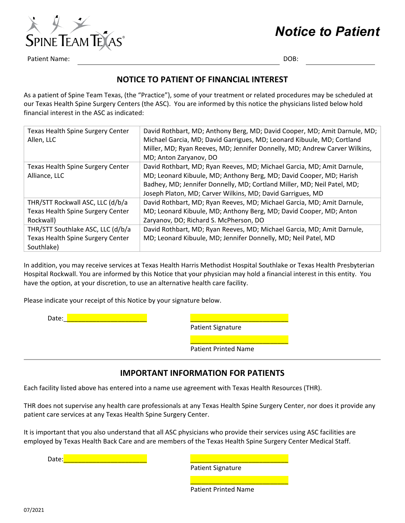# *Notice to Patient*



Patient Name: DOB: 2008; 2008; 2008; 2008; 2008; 2008; 2008; 2008; 2008; 2008; 2008; 2008; 2008; 2008; 2008; 2008; 2008; 2008; 2008; 2008; 2008; 2008; 2008; 2008; 2008; 2008; 2008; 2008; 2008; 2008; 2008; 2008; 2008; 2008;

### **NOTICE TO PATIENT OF FINANCIAL INTEREST**

As a patient of Spine Team Texas, (the "Practice"), some of your treatment or related procedures may be scheduled at our Texas Health Spine Surgery Centers (the ASC). You are informed by this notice the physicians listed below hold financial interest in the ASC as indicated:

| Texas Health Spine Surgery Center<br>Allen, LLC | David Rothbart, MD; Anthony Berg, MD; David Cooper, MD; Amit Darnule, MD;<br>Michael Garcia, MD; David Garrigues, MD; Leonard Kibuule, MD; Cortland<br>Miller, MD; Ryan Reeves, MD; Jennifer Donnelly, MD; Andrew Carver Wilkins,<br>MD; Anton Zaryanov, DO |
|-------------------------------------------------|-------------------------------------------------------------------------------------------------------------------------------------------------------------------------------------------------------------------------------------------------------------|
| <b>Texas Health Spine Surgery Center</b>        | David Rothbart, MD; Ryan Reeves, MD; Michael Garcia, MD; Amit Darnule,                                                                                                                                                                                      |
| Alliance, LLC                                   | MD; Leonard Kibuule, MD; Anthony Berg, MD; David Cooper, MD; Harish                                                                                                                                                                                         |
|                                                 | Badhey, MD; Jennifer Donnelly, MD; Cortland Miller, MD; Neil Patel, MD;                                                                                                                                                                                     |
|                                                 | Joseph Platon, MD; Carver Wilkins, MD; David Garrigues, MD                                                                                                                                                                                                  |
| THR/STT Rockwall ASC, LLC (d/b/a                | David Rothbart, MD; Ryan Reeves, MD; Michael Garcia, MD; Amit Darnule,                                                                                                                                                                                      |
| <b>Texas Health Spine Surgery Center</b>        | MD; Leonard Kibuule, MD; Anthony Berg, MD; David Cooper, MD; Anton                                                                                                                                                                                          |
| Rockwall)                                       | Zaryanov, DO; Richard S. McPherson, DO                                                                                                                                                                                                                      |
| THR/STT Southlake ASC, LLC (d/b/a               | David Rothbart, MD; Ryan Reeves, MD; Michael Garcia, MD; Amit Darnule,                                                                                                                                                                                      |
| Texas Health Spine Surgery Center               | MD; Leonard Kibuule, MD; Jennifer Donnelly, MD; Neil Patel, MD                                                                                                                                                                                              |
| Southlake)                                      |                                                                                                                                                                                                                                                             |

In addition, you may receive services at Texas Health Harris Methodist Hospital Southlake or Texas Health Presbyterian Hospital Rockwall. You are informed by this Notice that your physician may hold a financial interest in this entity. You have the option, at your discretion, to use an alternative health care facility.

Please indicate your receipt of this Notice by your signature below.

Date:\_\_\_\_\_\_\_\_\_\_\_\_\_\_\_\_\_\_\_\_\_\_\_ \_\_\_\_\_\_\_\_\_\_\_\_\_\_\_\_\_\_\_\_\_\_\_\_\_\_\_

Patient Signature

Patient Printed Name

\_\_\_\_\_\_\_\_\_\_\_\_\_\_\_\_\_\_\_\_\_\_\_\_\_\_\_

### **IMPORTANT INFORMATION FOR PATIENTS**

Each facility listed above has entered into a name use agreement with Texas Health Resources (THR).

THR does not supervise any health care professionals at any Texas Health Spine Surgery Center, nor does it provide any patient care services at any Texas Health Spine Surgery Center.

It is important that you also understand that all ASC physicians who provide their services using ASC facilities are employed by Texas Health Back Care and are members of the Texas Health Spine Surgery Center Medical Staff.

Date:\_\_\_\_\_\_\_\_\_\_\_\_\_\_\_\_\_\_\_\_\_\_\_ \_\_\_\_\_\_\_\_\_\_\_\_\_\_\_\_\_\_\_\_\_\_\_\_\_\_\_

Patient Signature

Patient Printed Name

\_\_\_\_\_\_\_\_\_\_\_\_\_\_\_\_\_\_\_\_\_\_\_\_\_\_\_